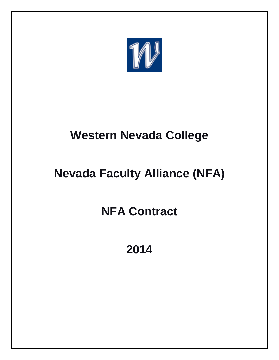

# **Western Nevada College**

# **Nevada Faculty Alliance (NFA)**

# **NFA Contract**

**2014**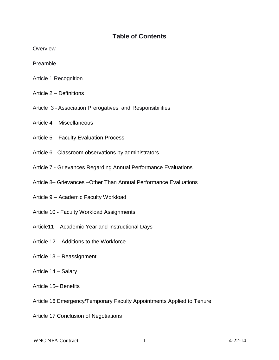## **Table of Contents**

**Overview** 

Preamble

- Article 1 Recognition
- Article 2 Definitions
- Article 3 Association Prerogatives and Responsibilities
- Article 4 Miscellaneous
- Article 5 Faculty Evaluation Process
- Article 6 Classroom observations by administrators
- Article 7 Grievances Regarding Annual Performance Evaluations
- Article 8– Grievances –Other Than Annual Performance Evaluations
- Article 9 Academic Faculty Workload
- Article 10 Faculty Workload Assignments
- Article11 Academic Year and Instructional Days
- Article 12 Additions to the Workforce
- Article 13 Reassignment
- Article 14 Salary
- Article 15– Benefits
- Article 16 Emergency/Temporary Faculty Appointments Applied to Tenure
- Article 17 Conclusion of Negotiations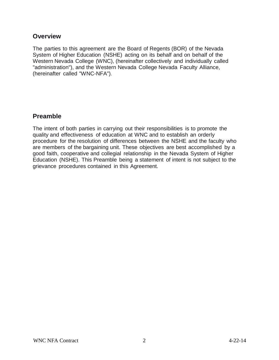## **Overview**

The parties to this agreement are the Board of Regents (BOR) of the Nevada System of Higher Education (NSHE) acting on its behalf and on behalf of the Western Nevada College (WNC), (hereinafter collectively and individually called "administration"), and the Western Nevada College Nevada Faculty Alliance, (hereinafter called "WNC-NFA").

## **Preamble**

The intent of both parties in carrying out their responsibilities is to promote the quality and effectiveness of education at WNC and to establish an orderly procedure for the resolution of differences between the NSHE and the faculty who are members of the bargaining unit. These objectives are best accomplished by a good faith, cooperative and collegial relationship in the Nevada System of Higher Education (NSHE). This Preamble being a statement of intent is not subject to the grievance procedures contained in this Agreement.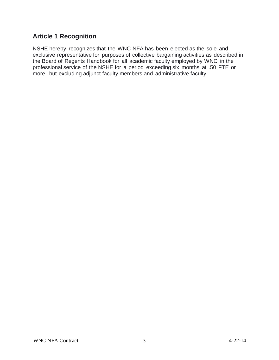# **Article 1 Recognition**

NSHE hereby recognizes that the WNC-NFA has been elected as the sole and exclusive representative for purposes of collective bargaining activities as described in the Board of Regents Handbook for all academic faculty employed by WNC in the professional service of the NSHE for a period exceeding six months at .50 FTE or more, but excluding adjunct faculty members and administrative faculty.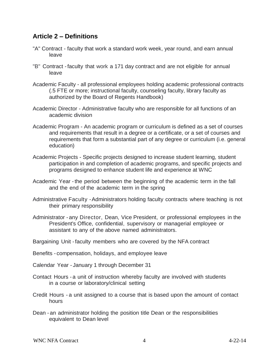## **Article 2 – Definitions**

- "A" Contract faculty that work a standard work week, year round, and earn annual leave
- "B" Contract -faculty that work a 171 day contract and are not eligible for annual leave
- Academic Faculty all professional employees holding academic professional contracts (.5 FTE or more; instructional faculty, counseling faculty, library faculty as authorized by the Board of Regents Handbook)
- Academic Director Administrative faculty who are responsible for all functions of an academic division
- Academic Program An academic program or curriculum is defined as a set of courses and requirements that result in a degree or a certificate, or a set of courses and requirements that form a substantial part of any degree or curriculum (i.e. general education)
- Academic Projects Specific projects designed to increase student learning, student participation in and completion of academic programs, and specific projects and programs designed to enhance student life and experience at WNC
- Academic Year -the period between the beginning of the academic term in the fall and the end of the academic term in the spring
- Administrative Faculty -Administrators holding faculty contracts where teaching is not their primary responsibility
- Administrator any Director, Dean, Vice President, or professional employees in the President's Office, confidential, supervisory or managerial employee or assistant to any of the above named administrators.
- Bargaining Unit -faculty members who are covered by the NFA contract
- Benefits compensation, holidays, and employee leave
- Calendar Year January 1 through December 31
- Contact Hours a unit of instruction whereby faculty are involved with students in a course or laboratory/clinical setting
- Credit Hours a unit assigned to a course that is based upon the amount of contact hours
- Dean an administrator holding the position title Dean or the responsibilities equivalent to Dean level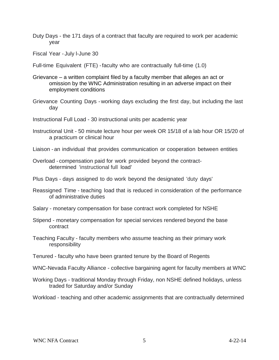- Duty Days the 171 days of a contract that faculty are required to work per academic year
- Fiscal Year July l-June 30
- Full-time Equivalent (FTE) -faculty who are contractually full-time (1.0)
- Grievance a written complaint filed by a faculty member that alleges an act or omission by the WNC Administration resulting in an adverse impact on their employment conditions
- Grievance Counting Days working days excluding the first day, but including the last day
- Instructional Full Load 30 instructional units per academic year
- Instructional Unit 50 minute lecture hour per week OR 15/18 of a lab hour OR 15/20 of a practicum or clinical hour

Liaison - an individual that provides communication or cooperation between entities

- Overload compensation paid for work provided beyond the contractdetermined 'instructional full load'
- Plus Days days assigned to do work beyond the designated 'duty days'
- Reassigned Time teaching load that is reduced in consideration of the performance of administrative duties
- Salary monetary compensation for base contract work completed for NSHE
- Stipend monetary compensation for special services rendered beyond the base contract
- Teaching Faculty faculty members who assume teaching as their primary work responsibility
- Tenured faculty who have been granted tenure by the Board of Regents
- WNC-Nevada Faculty Alliance collective bargaining agent for faculty members at WNC
- Working Days traditional Monday through Friday, non NSHE defined holidays, unless traded for Saturday and/or Sunday
- Workload teaching and other academic assignments that are contractually determined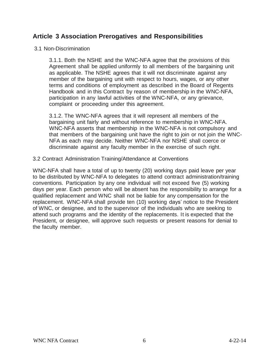## **Article 3 Association Prerogatives and Responsibilities**

### 3.1 Non-Discrimination

3.1.1. Both the NSHE and the WNC-NFA agree that the provisions of this Agreement shall be applied uniformly to all members of the bargaining unit as applicable. The NSHE agrees that it will not discriminate against any member of the bargaining unit with respect to hours, wages, or any other terms and conditions of employment as described in the Board of Regents Handbook and in this Contract by reason of membership in the WNC-NFA, participation in any lawful activities of the WNC-NFA, or any grievance, complaint or proceeding under this agreement.

3.1.2. The WNC-NFA agrees that it will represent all members of the bargaining unit fairly and without reference to membership in WNC-NFA. WNC-NFA asserts that membership in the WNC-NFA is not compulsory and that members of the bargaining unit have the right to join or not join the WNC-NFA as each may decide. Neither WNC-NFA nor NSHE shall coerce or discriminate against any faculty member in the exercise of such right.

## 3.2 Contract Administration Training/Attendance at Conventions

WNC-NFA shall have a total of up to twenty (20) working days paid leave per year to be distributed by WNC-NFA to delegates to attend contract administration/training conventions. Participation by any one individual will not exceed five (5) working days per year. Each person who will be absent has the responsibility to arrange for a qualified replacement and WNC shall not be liable for any compensation for the replacement. WNC-NFA shall provide ten (10) working days' notice to the President of WNC, or designee, and to the supervisor of the individuals who are seeking to attend such programs and the identity of the replacements. It is expected that the President, or designee, will approve such requests or present reasons for denial to the faculty member.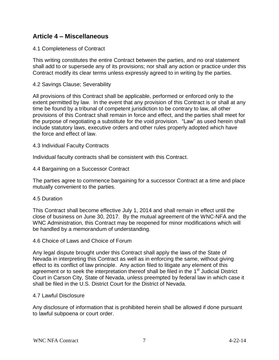## **Article 4 – Miscellaneous**

### 4.1 Completeness of Contract

This writing constitutes the entire Contract between the parties, and no oral statement shall add to or supersede any of its provisions; nor shall any action or practice under this Contract modify its clear terms unless expressly agreed to in writing by the parties.

### 4.2 Savings Clause; Severability

All provisions of this Contract shall be applicable, performed or enforced only to the extent permitted by law. In the event that any provision of this Contract is or shall at any time be found by a tribunal of competent jurisdiction to be contrary to law, all other provisions of this Contract shall remain in force and effect, and the parties shall meet for the purpose of negotiating a substitute for the void provision. "Law" as used herein shall include statutory laws, executive orders and other rules properly adopted which have the force and effect of law.

#### 4.3 Individual Faculty Contracts

Individual faculty contracts shall be consistent with this Contract.

#### 4.4 Bargaining on a Successor Contract

The parties agree to commence bargaining for a successor Contract at a time and place mutually convenient to the parties.

#### 4.5 Duration

This Contract shall become effective July 1, 2014 and shall remain in effect until the close of business on June 30, 2017. By the mutual agreement of the WNC-NFA and the WNC Administration, this Contract may be reopened for minor modifications which will be handled by a memorandum of understanding.

#### 4.6 Choice of Laws and Choice of Forum

Any legal dispute brought under this Contract shall apply the laws of the State of Nevada in interpreting this Contract as well as in enforcing the same, without giving effect to its conflict of law principle. Any action filed to litigate any element of this agreement or to seek the interpretation thereof shall be filed in the 1<sup>st</sup> Judicial District Court in Carson City, State of Nevada, unless preempted by federal law in which case it shall be filed in the U.S. District Court for the District of Nevada.

#### 4.7 Lawful Disclosure

Any disclosure of information that is prohibited herein shall be allowed if done pursuant to lawful subpoena or court order.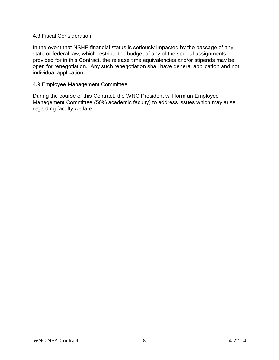#### 4.8 Fiscal Consideration

In the event that NSHE financial status is seriously impacted by the passage of any state or federal law, which restricts the budget of any of the special assignments provided for in this Contract, the release time equivalencies and/or stipends may be open for renegotiation. Any such renegotiation shall have general application and not individual application.

#### 4.9 Employee Management Committee

During the course of this Contract, the WNC President will form an Employee Management Committee (50% academic faculty) to address issues which may arise regarding faculty welfare.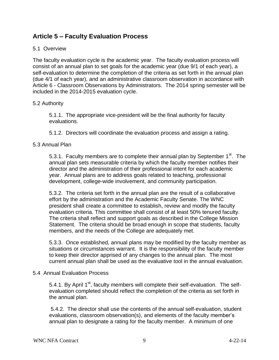# **Article 5 – Faculty Evaluation Process**

## 5.1 Overview

The faculty evaluation cycle is the academic year. The faculty evaluation process will consist of an annual plan to set goals for the academic year (due 9/1 of each year), a self-evaluation to determine the completion of the criteria as set forth in the annual plan (due 4/1 of each year), and an administrative classroom observation in accordance with Article 6 - Classroom Observations by Administrators. The 2014 spring semester will be included in the 2014-2015 evaluation cycle.

#### 5.2 Authority

5.1.1. The appropriate vice-president will be the final authority for faculty evaluations.

5.1.2. Directors will coordinate the evaluation process and assign a rating.

## 5.3 Annual Plan

5.3.1. Faculty members are to complete their annual plan by September  $1<sup>st</sup>$ . The annual plan sets measurable criteria by which the faculty member notifies their director and the administration of their professional intent for each academic year. Annual plans are to address goals related to teaching, professional development, college-wide involvement, and community participation.

5.3.2. The criteria set forth in the annual plan are the result of a collaborative effort by the administration and the Academic Faculty Senate. The WNC president shall create a committee to establish, review and modify the faculty evaluation criteria. This committee shall consist of at least 50% tenured faculty. The criteria shall reflect and support goals as described in the College Mission Statement. The criteria should be broad enough in scope that students, faculty members, and the needs of the College are adequately met.

5.3.3. Once established, annual plans may be modified by the faculty member as situations or circumstances warrant. It is the responsibility of the faculty member to keep their director apprised of any changes to the annual plan. The most current annual plan shall be used as the evaluative tool in the annual evaluation.

#### 5.4 Annual Evaluation Process

5.4.1. By April 1<sup>st</sup>, faculty members will complete their self-evaluation. The selfevaluation completed should reflect the completion of the criteria as set forth in the annual plan.

5.4.2. The director shall use the contents of the annual self-evaluation, student evaluations, classroom observation(s), and elements of the faculty member's annual plan to designate a rating for the faculty member. A minimum of one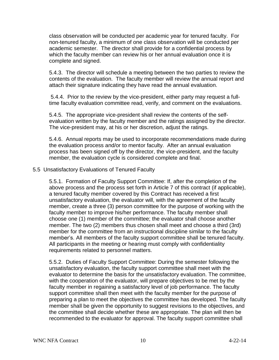class observation will be conducted per academic year for tenured faculty. For non-tenured faculty, a minimum of one class observation will be conducted per academic semester. The director shall provide for a confidential process by which the faculty member can review his or her annual evaluation once it is complete and signed.

5.4.3. The director will schedule a meeting between the two parties to review the contents of the evaluation. The faculty member will review the annual report and attach their signature indicating they have read the annual evaluation.

5.4.4. Prior to the review by the vice-president, either party may request a fulltime faculty evaluation committee read, verify, and comment on the evaluations.

5.4.5. The appropriate vice-president shall review the contents of the selfevaluation written by the faculty member and the ratings assigned by the director. The vice-president may, at his or her discretion, adjust the ratings.

5.4.6. Annual reports may be used to incorporate recommendations made during the evaluation process and/or to mentor faculty. After an annual evaluation process has been signed off by the director, the vice-president, and the faculty member, the evaluation cycle is considered complete and final.

#### 5.5 Unsatisfactory Evaluations of Tenured Faculty

5.5.1. Formation of Faculty Support Committee: If, after the completion of the above process and the process set forth in Article 7 of this contract (if applicable), a tenured faculty member covered by this Contract has received a first unsatisfactory evaluation, the evaluator will, with the agreement of the faculty member, create a three (3) person committee for the purpose of working with the faculty member to improve his/her performance. The faculty member shall choose one (1) member of the committee; the evaluator shall choose another member. The two (2) members thus chosen shall meet and choose a third (3rd) member for the committee from an instructional discipline similar to the faculty member's. All members of the faculty support committee shall be tenured faculty. All participants in the meeting or hearing must comply with confidentiality requirements related to personnel matters.

5.5.2. Duties of Faculty Support Committee: During the semester following the unsatisfactory evaluation, the faculty support committee shall meet with the evaluator to determine the basis for the unsatisfactory evaluation. The committee, with the cooperation of the evaluator, will prepare objectives to be met by the faculty member in regaining a satisfactory level of job performance. The faculty support committee shall then meet with the faculty member for the purpose of preparing a plan to meet the objectives the committee has developed. The faculty member shall be given the opportunity to suggest revisions to the objectives, and the committee shall decide whether these are appropriate. The plan will then be recommended to the evaluator for approval. The faculty support committee shall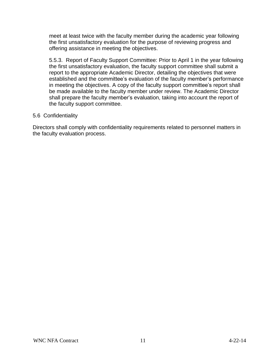meet at least twice with the faculty member during the academic year following the first unsatisfactory evaluation for the purpose of reviewing progress and offering assistance in meeting the objectives.

5.5.3. Report of Faculty Support Committee: Prior to April 1 in the year following the first unsatisfactory evaluation, the faculty support committee shall submit a report to the appropriate Academic Director, detailing the objectives that were established and the committee's evaluation of the faculty member's performance in meeting the objectives. A copy of the faculty support committee's report shall be made available to the faculty member under review. The Academic Director shall prepare the faculty member's evaluation, taking into account the report of the faculty support committee.

#### 5.6 Confidentiality

Directors shall comply with confidentiality requirements related to personnel matters in the faculty evaluation process.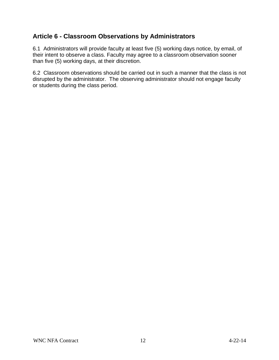# **Article 6 - Classroom Observations by Administrators**

6.1 Administrators will provide faculty at least five (5) working days notice, by email, of their intent to observe a class. Faculty may agree to a classroom observation sooner than five (5) working days, at their discretion.

6.2 Classroom observations should be carried out in such a manner that the class is not disrupted by the administrator. The observing administrator should not engage faculty or students during the class period.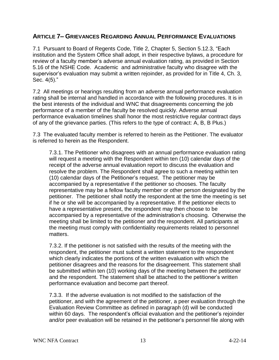## **ARTICLE 7– GRIEVANCES REGARDING ANNUAL PERFORMANCE EVALUATIONS**

7.1 Pursuant to Board of Regents Code, Title 2, Chapter 5, Section 5.12.3, "Each institution and the System Office shall adopt, in their respective bylaws, a procedure for review of a faculty member's adverse annual evaluation rating, as provided in Section 5.16 of the NSHE Code. Academic and administrative faculty who disagree with the supervisor's evaluation may submit a written rejoinder, as provided for in Title 4, Ch. 3, Sec. 4(5)."

7.2 All meetings or hearings resulting from an adverse annual performance evaluation rating shall be internal and handled in accordance with the following procedures. It is in the best interests of the individual and WNC that disagreements concerning the job performance of a member of the faculty be resolved quickly. Adverse annual performance evaluation timelines shall honor the most restrictive regular contract days of any of the grievance parties. (This refers to the type of contract: A, B, B Plus.)

7.3 The evaluated faculty member is referred to herein as the Petitioner. The evaluator is referred to herein as the Respondent.

7.3.1. The Petitioner who disagrees with an annual performance evaluation rating will request a meeting with the Respondent within ten (10) calendar days of the receipt of the adverse annual evaluation report to discuss the evaluation and resolve the problem. The Respondent shall agree to such a meeting within ten (10) calendar days of the Petitioner's request. The petitioner may be accompanied by a representative if the petitioner so chooses. The faculty representative may be a fellow faculty member or other person designated by the petitioner. The petitioner shall notify the respondent at the time the meeting is set if he or she will be accompanied by a representative. If the petitioner elects to have a representative present, the respondent may then choose to be accompanied by a representative of the administration's choosing. Otherwise the meeting shall be limited to the petitioner and the respondent. All participants at the meeting must comply with confidentiality requirements related to personnel matters.

7.3.2. If the petitioner is not satisfied with the results of the meeting with the respondent, the petitioner must submit a written statement to the respondent which clearly indicates the portions of the written evaluation with which the petitioner disagrees and the reasons for the disagreement. This statement shall be submitted within ten (10) working days of the meeting between the petitioner and the respondent. The statement shall be attached to the petitioner's written performance evaluation and become part thereof.

7.3.3. If the adverse evaluation is not modified to the satisfaction of the petitioner, and with the agreement of the petitioner, a peer evaluation through the Evaluation Review Committee as defined in paragraph (d) will be conducted within 60 days. The respondent's official evaluation and the petitioner's rejoinder and/or peer evaluation will be retained in the petitioner's personnel file along with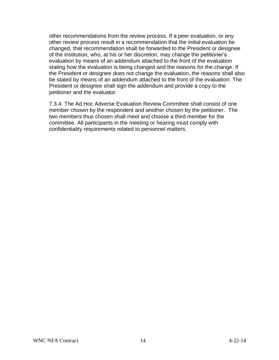other recommendations from the review process. If a peer evaluation, or any other review process result in a recommendation that the initial evaluation be changed, that recommendation shall be forwarded to the President or designee of the institution, who, at his or her discretion, may change the petitioner's evaluation by means of an addendum attached to the front of the evaluation stating how the evaluation is being changed and the reasons for the change. If the President or designee does not change the evaluation, the reasons shall also be stated by means of an addendum attached to the front of the evaluation. The President or designee shall sign the addendum and provide a copy to the petitioner and the evaluator.

7.3.4. The Ad Hoc Adverse Evaluation Review Committee shall consist of one member chosen by the respondent and another chosen by the petitioner. The two members thus chosen shall meet and choose a third member for the committee. All participants in the meeting or hearing must comply with confidentiality requirements related to personnel matters.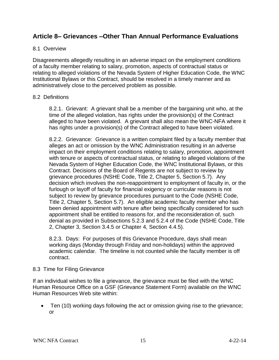## **Article 8– Grievances –Other Than Annual Performance Evaluations**

### 8.1 Overview

Disagreements allegedly resulting in an adverse impact on the employment conditions of a faculty member relating to salary, promotion, aspects of contractual status or relating to alleged violations of the Nevada System of Higher Education Code, the WNC Institutional Bylaws or this Contract, should be resolved in a timely manner and as administratively close to the perceived problem as possible.

#### 8.2 Definitions

8.2.1. Grievant: A grievant shall be a member of the bargaining unit who, at the time of the alleged violation, has rights under the provision(s) of the Contract alleged to have been violated. A grievant shall also mean the WNC-NFA where it has rights under a provision(s) of the Contract alleged to have been violated.

8.2.2. Grievance: Grievance is a written complaint filed by a faculty member that alleges an act or omission by the WNC Administration resulting in an adverse impact on their employment conditions relating to salary, promotion, appointment with tenure or aspects of contractual status, or relating to alleged violations of the Nevada System of Higher Education Code, the WNC Institutional Bylaws, or this Contract. Decisions of the Board of Regents are not subject to review by grievance procedures (NSHE Code, Title 2, Chapter 5, Section 5.7). Any decision which involves the non-reappointment to employment of faculty in, or the furlough or layoff of faculty for financial exigency or curricular reasons is not subject to review by grievance procedures pursuant to the Code (NSHE Code, Title 2, Chapter 5, Section 5.7). An eligible academic faculty member who has been denied appointment with tenure after being specifically considered for such appointment shall be entitled to reasons for, and the reconsideration of, such denial as provided in Subsections 5.2.3 and 5.2.4 of the Code (NSHE Code, Title 2, Chapter 3, Section 3.4.5 or Chapter 4, Section 4.4.5).

8.2.3. Days: For purposes of this Grievance Procedure, days shall mean working days (Monday through Friday and non-holidays) within the approved academic calendar. The timeline is not counted while the faculty member is off contract.

#### 8.3 Time for Filing Grievance

If an individual wishes to file a grievance, the grievance must be filed with the WNC Human Resource Office on a GSF (Grievance Statement Form) available on the WNC Human Resources Web site within:

 Ten (10) working days following the act or omission giving rise to the grievance; or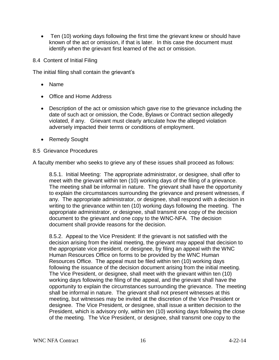- Ten (10) working days following the first time the grievant knew or should have known of the act or omission, if that is later. In this case the document must identify when the grievant first learned of the act or omission.
- 8.4 Content of Initial Filing

The initial filing shall contain the grievant's

- Name
- Office and Home Address
- Description of the act or omission which gave rise to the grievance including the date of such act or omission, the Code, Bylaws or Contract section allegedly violated, if any. Grievant must clearly articulate how the alleged violation adversely impacted their terms or conditions of employment.
- Remedy Sought

#### 8.5 Grievance Procedures

A faculty member who seeks to grieve any of these issues shall proceed as follows:

8.5.1. Initial Meeting: The appropriate administrator, or designee, shall offer to meet with the grievant within ten (10) working days of the filing of a grievance. The meeting shall be informal in nature. The grievant shall have the opportunity to explain the circumstances surrounding the grievance and present witnesses, if any. The appropriate administrator, or designee, shall respond with a decision in writing to the grievance within ten (10) working days following the meeting. The appropriate administrator, or designee, shall transmit one copy of the decision document to the grievant and one copy to the WNC-NFA. The decision document shall provide reasons for the decision.

8.5.2. Appeal to the Vice President: If the grievant is not satisfied with the decision arising from the initial meeting, the grievant may appeal that decision to the appropriate vice president, or designee, by filing an appeal with the WNC Human Resources Office on forms to be provided by the WNC Human Resources Office. The appeal must be filed within ten (10) working days following the issuance of the decision document arising from the initial meeting. The Vice President, or designee, shall meet with the grievant within ten (10) working days following the filing of the appeal, and the grievant shall have the opportunity to explain the circumstances surrounding the grievance. The meeting shall be informal in nature. The grievant shall not present witnesses at this meeting, but witnesses may be invited at the discretion of the Vice President or designee. The Vice President, or designee, shall issue a written decision to the President, which is advisory only, within ten (10) working days following the close of the meeting. The Vice President, or designee, shall transmit one copy to the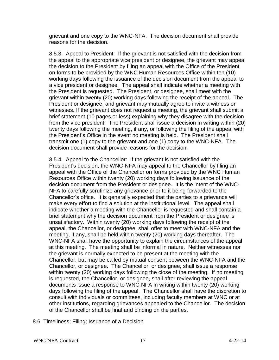grievant and one copy to the WNC-NFA. The decision document shall provide reasons for the decision.

8.5.3. Appeal to President: If the grievant is not satisfied with the decision from the appeal to the appropriate vice president or designee, the grievant may appeal the decision to the President by filing an appeal with the Office of the President on forms to be provided by the WNC Human Resources Office within ten (10) working days following the issuance of the decision document from the appeal to a vice president or designee. The appeal shall indicate whether a meeting with the President is requested. The President, or designee, shall meet with the grievant within twenty (20) working days following the receipt of the appeal. The President or designee, and grievant may mutually agree to invite a witness or witnesses. If the grievant does not request a meeting, the grievant shall submit a brief statement (10 pages or less) explaining why they disagree with the decision from the vice president. The President shall issue a decision in writing within (20) twenty days following the meeting, if any, or following the filing of the appeal with the President's Office in the event no meeting is held. The President shall transmit one (1) copy to the grievant and one (1) copy to the WNC-NFA. The decision document shall provide reasons for the decision.

8.5.4. Appeal to the Chancellor: If the grievant is not satisfied with the President's decision, the WNC-NFA may appeal to the Chancellor by filing an appeal with the Office of the Chancellor on forms provided by the WNC Human Resources Office within twenty (20) working days following issuance of the decision document from the President or designee. It is the intent of the WNC-NFA to carefully scrutinize any grievance prior to it being forwarded to the Chancellor's office. It is generally expected that the parties to a grievance will make every effort to find a solution at the institutional level. The appeal shall indicate whether a meeting with the Chancellor is requested and shall contain a brief statement why the decision document from the President or designee is unsatisfactory. Within twenty (20) working days following the receipt of the appeal, the Chancellor, or designee, shall offer to meet with WNC-NFA and the meeting, if any, shall be held within twenty (20) working days thereafter. The WNC-NFA shall have the opportunity to explain the circumstances of the appeal at this meeting. The meeting shall be informal in nature. Neither witnesses nor the grievant is normally expected to be present at the meeting with the Chancellor, but may be called by mutual consent between the WNC-NFA and the Chancellor, or designee. The Chancellor, or designee, shall issue a response within twenty (20) working days following the close of the meeting. If no meeting is requested, the Chancellor, or designee, shall after reviewing the appeal documents issue a response to WNC-NFA in writing within twenty (20) working days following the filing of the appeal. The Chancellor shall have the discretion to consult with individuals or committees, including faculty members at WNC or at other institutions, regarding grievances appealed to the Chancellor. The decision of the Chancellor shall be final and binding on the parties.

8.6 Timeliness; Filing; Issuance of a Decision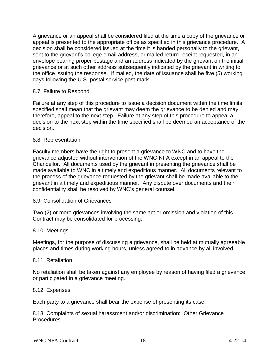A grievance or an appeal shall be considered filed at the time a copy of the grievance or appeal is presented to the appropriate office as specified in this grievance procedure. A decision shall be considered issued at the time it is handed personally to the grievant, sent to the grievant's college email address, or mailed return-receipt requested, in an envelope bearing proper postage and an address indicated by the grievant on the initial grievance or at such other address subsequently indicated by the grievant in writing to the office issuing the response. If mailed, the date of issuance shall be five (5) working days following the U.S. postal service post-mark.

#### 8.7 Failure to Respond

Failure at any step of this procedure to issue a decision document within the time limits specified shall mean that the grievant may deem the grievance to be denied and may, therefore, appeal to the next step. Failure at any step of this procedure to appeal a decision to the next step within the time specified shall be deemed an acceptance of the decision.

#### 8.8 Representation

Faculty members have the right to present a grievance to WNC and to have the grievance adjusted without intervention of the WNC-NFA except in an appeal to the Chancellor. All documents used by the grievant in presenting the grievance shall be made available to WNC in a timely and expeditious manner. All documents relevant to the process of the grievance requested by the grievant shall be made available to the grievant in a timely and expeditious manner. Any dispute over documents and their confidentiality shall be resolved by WNC's general counsel.

#### 8.9 Consolidation of Grievances

Two (2) or more grievances involving the same act or omission and violation of this Contract may be consolidated for processing.

#### 8.10 Meetings

Meetings, for the purpose of discussing a grievance, shall be held at mutually agreeable places and times during working hours, unless agreed to in advance by all involved.

#### 8.11 Retaliation

No retaliation shall be taken against any employee by reason of having filed a grievance or participated in a grievance meeting.

#### 8.12 Expenses

Each party to a grievance shall bear the expense of presenting its case.

8.13 Complaints of sexual harassment and/or discrimination: Other Grievance Procedures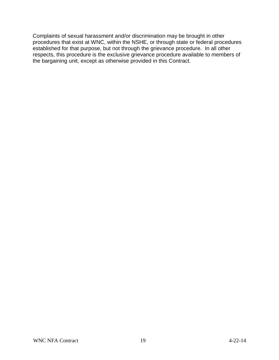Complaints of sexual harassment and/or discrimination may be brought in other procedures that exist at WNC, within the NSHE, or through state or federal procedures established for that purpose, but not through the grievance procedure. In all other respects, this procedure is the exclusive grievance procedure available to members of the bargaining unit, except as otherwise provided in this Contract.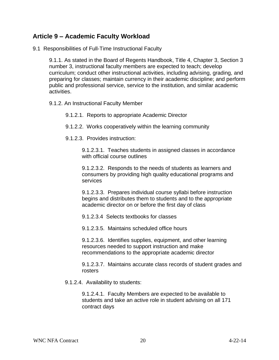## **Article 9 – Academic Faculty Workload**

9.1 Responsibilities of Full-Time Instructional Faculty

9.1.1. As stated in the Board of Regents Handbook, Title 4, Chapter 3, Section 3 number 3, instructional faculty members are expected to teach; develop curriculum; conduct other instructional activities, including advising, grading, and preparing for classes; maintain currency in their academic discipline; and perform public and professional service, service to the institution, and similar academic activities.

9.1.2. An Instructional Faculty Member

9.1.2.1. Reports to appropriate Academic Director

- 9.1.2.2. Works cooperatively within the learning community
- 9.1.2.3. Provides instruction:

9.1.2.3.1. Teaches students in assigned classes in accordance with official course outlines

9.1.2.3.2. Responds to the needs of students as learners and consumers by providing high quality educational programs and services

9.1.2.3.3. Prepares individual course syllabi before instruction begins and distributes them to students and to the appropriate academic director on or before the first day of class

9.1.2.3.4 Selects textbooks for classes

9.1.2.3.5. Maintains scheduled office hours

9.1.2.3.6. Identifies supplies, equipment, and other learning resources needed to support instruction and make recommendations to the appropriate academic director

9.1.2.3.7. Maintains accurate class records of student grades and rosters

9.1.2.4. Availability to students:

9.1.2.4.1. Faculty Members are expected to be available to students and take an active role in student advising on all 171 contract days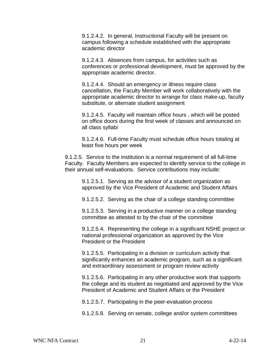9.1.2.4.2. In general, Instructional Faculty will be present on campus following a schedule established with the appropriate academic director

9.1.2.4.3. Absences from campus, for activities such as conferences or professional development, must be approved by the appropriate academic director.

9.1.2.4.4. Should an emergency or illness require class cancellation, the Faculty Member will work collaboratively with the appropriate academic director to arrange for class make-up, faculty substitute, or alternate student assignment

9.1.2.4.5. Faculty will maintain office hours , which will be posted on office doors during the first week of classes and announced on all class syllabi

9.1.2.4.6. Full-time Faculty must schedule office hours totaling at least five hours per week

9.1.2.5. Service to the institution is a normal requirement of all full-time Faculty. Faculty Members are expected to identify service to the college in their annual self-evaluations. Service contributions may include:

9.1.2.5.1. Serving as the advisor of a student organization as approved by the Vice President of Academic and Student Affairs

9.1.2.5.2. Serving as the chair of a college standing committee

9.1.2.5.3. Serving in a productive manner on a college standing committee as attested to by the chair of the committee

9.1.2.5.4. Representing the college in a significant NSHE project or national professional organization as approved by the Vice President or the President

9.1.2.5.5. Participating in a division or curriculum activity that significantly enhances an academic program, such as a significant and extraordinary assessment or program review activity

9.1.2.5.6. Participating in any other productive work that supports the college and its student as negotiated and approved by the Vice President of Academic and Student Affairs or the President

9.1.2.5.7. Participating in the peer-evaluation process

9.1.2.5.8. Serving on senate, college and/or system committees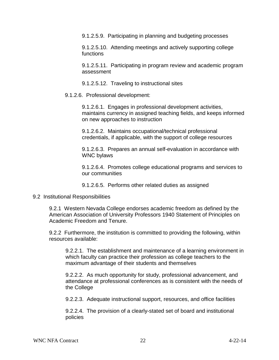9.1.2.5.9. Participating in planning and budgeting processes

9.1.2.5.10. Attending meetings and actively supporting college functions

9.1.2.5.11. Participating in program review and academic program assessment

9.1.2.5.12. Traveling to instructional sites

9.1.2.6. Professional development:

9.1.2.6.1. Engages in professional development activities, maintains currency in assigned teaching fields, and keeps informed on new approaches to instruction

9.1.2.6.2. Maintains occupational/technical professional credentials, if applicable, with the support of college resources

9.1.2.6.3. Prepares an annual self-evaluation in accordance with WNC bylaws

9.1.2.6.4. Promotes college educational programs and services to our communities

9.1.2.6.5. Performs other related duties as assigned

#### 9.2 Institutional Responsibilities

9.2.1 Western Nevada College endorses academic freedom as defined by the American Association of University Professors 1940 Statement of Principles on Academic Freedom and Tenure.

9.2.2 Furthermore, the institution is committed to providing the following, within resources available:

9.2.2.1. The establishment and maintenance of a learning environment in which faculty can practice their profession as college teachers to the maximum advantage of their students and themselves

9.2.2.2. As much opportunity for study, professional advancement, and attendance at professional conferences as is consistent with the needs of the College

9.2.2.3. Adequate instructional support, resources, and office facilities

9.2.2.4. The provision of a clearly-stated set of board and institutional policies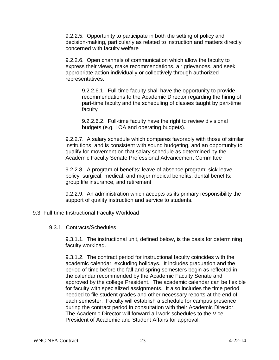9.2.2.5. Opportunity to participate in both the setting of policy and decision-making, particularly as related to instruction and matters directly concerned with faculty welfare

9.2.2.6. Open channels of communication which allow the faculty to express their views, make recommendations, air grievances, and seek appropriate action individually or collectively through authorized representatives.

9.2.2.6.1. Full-time faculty shall have the opportunity to provide recommendations to the Academic Director regarding the hiring of part-time faculty and the scheduling of classes taught by part-time faculty

9.2.2.6.2. Full-time faculty have the right to review divisional budgets (e.g. LOA and operating budgets).

9.2.2.7. A salary schedule which compares favorably with those of similar institutions, and is consistent with sound budgeting, and an opportunity to qualify for movement on that salary schedule as determined by the Academic Faculty Senate Professional Advancement Committee

9.2.2.8. A program of benefits: leave of absence program; sick leave policy; surgical, medical, and major medical benefits; dental benefits; group life insurance, and retirement

9.2.2.9. An administration which accepts as its primary responsibility the support of quality instruction and service to students.

#### 9.3 Full-time Instructional Faculty Workload

#### 9.3.1. Contracts/Schedules

9.3.1.1. The instructional unit, defined below, is the basis for determining faculty workload.

9.3.1.2. The contract period for instructional faculty coincides with the academic calendar, excluding holidays. It includes graduation and the period of time before the fall and spring semesters begin as reflected in the calendar recommended by the Academic Faculty Senate and approved by the college President. The academic calendar can be flexible for faculty with specialized assignments. It also includes the time period needed to file student grades and other necessary reports at the end of each semester. Faculty will establish a schedule for campus presence during the contract period in consultation with their Academic Director. The Academic Director will forward all work schedules to the Vice President of Academic and Student Affairs for approval.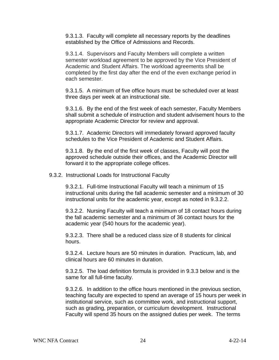9.3.1.3. Faculty will complete all necessary reports by the deadlines established by the Office of Admissions and Records.

9.3.1.4. Supervisors and Faculty Members will complete a written semester workload agreement to be approved by the Vice President of Academic and Student Affairs. The workload agreements shall be completed by the first day after the end of the even exchange period in each semester.

9.3.1.5. A minimum of five office hours must be scheduled over at least three days per week at an instructional site.

9.3.1.6. By the end of the first week of each semester, Faculty Members shall submit a schedule of instruction and student advisement hours to the appropriate Academic Director for review and approval.

9.3.1.7. Academic Directors will immediately forward approved faculty schedules to the Vice President of Academic and Student Affairs.

9.3.1.8. By the end of the first week of classes, Faculty will post the approved schedule outside their offices, and the Academic Director will forward it to the appropriate college offices.

9.3.2. Instructional Loads for Instructional Faculty

9.3.2.1. Full-time Instructional Faculty will teach a minimum of 15 instructional units during the fall academic semester and a minimum of 30 instructional units for the academic year, except as noted in 9.3.2.2.

9.3.2.2. Nursing Faculty will teach a minimum of 18 contact hours during the fall academic semester and a minimum of 36 contact hours for the academic year (540 hours for the academic year).

9.3.2.3. There shall be a reduced class size of 8 students for clinical hours.

9.3.2.4. Lecture hours are 50 minutes in duration. Practicum, lab, and clinical hours are 60 minutes in duration.

9.3.2.5. The load definition formula is provided in 9.3.3 below and is the same for all full-time faculty.

9.3.2.6. In addition to the office hours mentioned in the previous section, teaching faculty are expected to spend an average of 15 hours per week in institutional service, such as committee work, and instructional support, such as grading, preparation, or curriculum development. Instructional Faculty will spend 35 hours on the assigned duties per week. The terms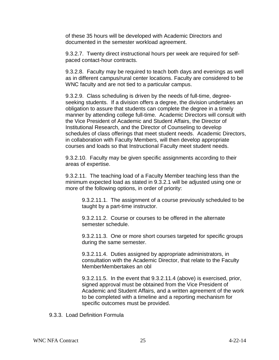of these 35 hours will be developed with Academic Directors and documented in the semester workload agreement.

9.3.2.7. Twenty direct instructional hours per week are required for selfpaced contact-hour contracts.

9.3.2.8. Faculty may be required to teach both days and evenings as well as in different campus/rural center locations. Faculty are considered to be WNC faculty and are not tied to a particular campus.

9.3.2.9. Class scheduling is driven by the needs of full-time, degreeseeking students. If a division offers a degree, the division undertakes an obligation to assure that students can complete the degree in a timely manner by attending college full-time. Academic Directors will consult with the Vice President of Academic and Student Affairs, the Director of Institutional Research, and the Director of Counseling to develop schedules of class offerings that meet student needs. Academic Directors, in collaboration with Faculty Members, will then develop appropriate courses and loads so that Instructional Faculty meet student needs.

9.3.2.10. Faculty may be given specific assignments according to their areas of expertise.

9.3.2.11. The teaching load of a Faculty Member teaching less than the minimum expected load as stated in 9.3.2.1 will be adjusted using one or more of the following options, in order of priority:

9.3.2.11.1. The assignment of a course previously scheduled to be taught by a part-time instructor.

9.3.2.11.2. Course or courses to be offered in the alternate semester schedule.

9.3.2.11.3. One or more short courses targeted for specific groups during the same semester.

9.3.2.11.4. Duties assigned by appropriate administrators, in consultation with the Academic Director, that relate to the Faculty MemberMembertakes an obl

9.3.2.11.5. In the event that 9.3.2.11.4 (above) is exercised, prior, signed approval must be obtained from the Vice President of Academic and Student Affairs, and a written agreement of the work to be completed with a timeline and a reporting mechanism for specific outcomes must be provided.

9.3.3. Load Definition Formula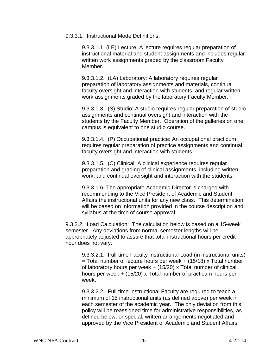#### 9.3.3.1. Instructional Mode Definitions:

9.3.3.1.1 (LE) Lecture: A lecture requires regular preparation of instructional material and student assignments and includes regular written work assignments graded by the classroom Faculty Member.

9.3.3.1.2. (LA) Laboratory: A laboratory requires regular preparation of laboratory assignments and materials, continual faculty oversight and interaction with students, and regular written work assignments graded by the laboratory Faculty Member.

9.3.3.1.3. (S) Studio: A studio requires regular preparation of studio assignments and continual oversight and interaction with the students by the Faculty Member. Operation of the galleries on one campus is equivalent to one studio course.

9.3.3.1.4. (P) Occupational practice: An occupational practicum requires regular preparation of practice assignments and continual faculty oversight and interaction with students.

9.3.3.1.5. (C) Clinical: A clinical experience requires regular preparation and grading of clinical assignments, including written work, and continual oversight and interaction with the students.

9.3.3.1.6 The appropriate Academic Director is charged with recommending to the Vice President of Academic and Student Affairs the instructional units for any new class. This determination will be based on information provided in the course description and syllabus at the time of course approval.

9.3.3.2. Load Calculation: The calculation below is based on a 15-week semester. Any deviations from normal semester lengths will be appropriately adjusted to assure that total instructional hours per credit hour does not vary.

9.3.3.2.1. Full-time Faculty Instructional Load (in instructional units)  $=$  Total number of lecture hours per week  $+$  (15/18) x Total number of laboratory hours per week  $+$  (15/20) x Total number of clinical hours per week + (15/20) x Total number of practicum hours per week.

9.3.3.2.2. Full-time Instructional Faculty are required to teach a minimum of 15 instructional units (as defined above) per week in each semester of the academic year. The only deviation from this policy will be reassigned time for administrative responsibilities, as defined below, or special, written arrangements negotiated and approved by the Vice President of Academic and Student Affairs,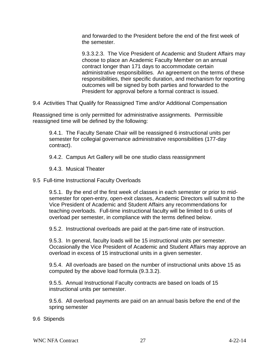and forwarded to the President before the end of the first week of the semester.

9.3.3.2.3. The Vice President of Academic and Student Affairs may choose to place an Academic Faculty Member on an annual contract longer than 171 days to accommodate certain administrative responsibilities. An agreement on the terms of these responsibilities, their specific duration, and mechanism for reporting outcomes will be signed by both parties and forwarded to the President for approval before a formal contract is issued.

9.4 Activities That Qualify for Reassigned Time and/or Additional Compensation

Reassigned time is only permitted for administrative assignments. Permissible reassigned time will be defined by the following:

9.4.1. The Faculty Senate Chair will be reassigned 6 instructional units per semester for collegial governance administrative responsibilities (177-day contract).

9.4.2. Campus Art Gallery will be one studio class reassignment

9.4.3. Musical Theater

9.5 Full-time Instructional Faculty Overloads

9.5.1. By the end of the first week of classes in each semester or prior to midsemester for open-entry, open-exit classes, Academic Directors will submit to the Vice President of Academic and Student Affairs any recommendations for teaching overloads. Full-time instructional faculty will be limited to 6 units of overload per semester, in compliance with the terms defined below.

9.5.2. Instructional overloads are paid at the part-time rate of instruction.

9.5.3. In general, faculty loads will be 15 instructional units per semester. Occasionally the Vice President of Academic and Student Affairs may approve an overload in excess of 15 instructional units in a given semester.

9.5.4. All overloads are based on the number of instructional units above 15 as computed by the above load formula (9.3.3.2).

9.5.5. Annual Instructional Faculty contracts are based on loads of 15 instructional units per semester.

9.5.6. All overload payments are paid on an annual basis before the end of the spring semester

9.6 Stipends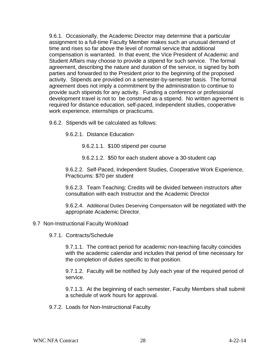9.6.1. Occasionally, the Academic Director may determine that a particular assignment to a full-time Faculty Member makes such an unusual demand of time and rises so far above the level of normal service that additional compensation is warranted. In that event, the Vice President of Academic and Student Affairs may choose to provide a stipend for such service. The formal agreement, describing the nature and duration of the service, is signed by both parties and forwarded to the President prior to the beginning of the proposed activity. Stipends are provided on a semester-by-semester basis. The formal agreement does not imply a commitment by the administration to continue to provide such stipends for any activity. Funding a conference or professional development travel is not to be construed as a stipend. No written agreement is required for distance education, self-paced, independent studies, cooperative work experience, internships or practicums.

9.6.2. Stipends will be calculated as follows:

9.6.2.1. Distance Education

9.6.2.1.1. \$100 stipend per course

9.6.2.1.2. \$50 for each student above a 30-student cap

9.6.2.2. Self-Paced, Independent Studies, Cooperative Work Experience, Practicums: \$70 per student

9.6.2.3. Team Teaching: Credits will be divided between instructors after consultation with each Instructor and the Academic Director

9.6.2.4. Additional Duties Deserving Compensation will be negotiated with the appropriate Academic Director.

#### 9.7 Non-Instructional Faculty Workload

9.7.1. Contracts/Schedule

9.7.1.1. The contract period for academic non-teaching faculty coincides with the academic calendar and includes that period of time necessary for the completion of duties specific to that position.

9.7.1.2. Faculty will be notified by July each year of the required period of service.

9.7.1.3. At the beginning of each semester, Faculty Members shall submit a schedule of work hours for approval.

9.7.2. Loads for Non-Instructional Faculty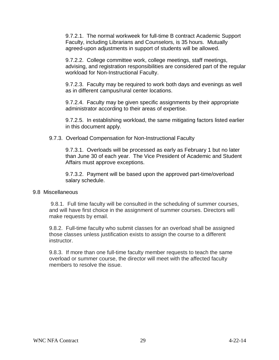9.7.2.1. The normal workweek for full-time B contract Academic Support Faculty, including Librarians and Counselors, is 35 hours. Mutually agreed-upon adjustments in support of students will be allowed.

9.7.2.2. College committee work, college meetings, staff meetings, advising, and registration responsibilities are considered part of the regular workload for Non-Instructional Faculty.

9.7.2.3. Faculty may be required to work both days and evenings as well as in different campus/rural center locations.

9.7.2.4. Faculty may be given specific assignments by their appropriate administrator according to their areas of expertise.

9.7.2.5. In establishing workload, the same mitigating factors listed earlier in this document apply.

9.7.3. Overload Compensation for Non-Instructional Faculty

9.7.3.1. Overloads will be processed as early as February 1 but no later than June 30 of each year. The Vice President of Academic and Student Affairs must approve exceptions.

9.7.3.2. Payment will be based upon the approved part-time/overload salary schedule.

#### 9.8 Miscellaneous

9.8.1. Full time faculty will be consulted in the scheduling of summer courses, and will have first choice in the assignment of summer courses. Directors will make requests by email.

9.8.2. Full-time faculty who submit classes for an overload shall be assigned those classes unless justification exists to assign the course to a different instructor.

9.8.3. If more than one full-time faculty member requests to teach the same overload or summer course, the director will meet with the affected faculty members to resolve the issue.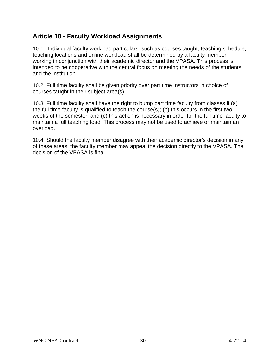# **Article 10 - Faculty Workload Assignments**

10.1. Individual faculty workload particulars, such as courses taught, teaching schedule, teaching locations and online workload shall be determined by a faculty member working in conjunction with their academic director and the VPASA. This process is intended to be cooperative with the central focus on meeting the needs of the students and the institution.

10.2 Full time faculty shall be given priority over part time instructors in choice of courses taught in their subject area(s).

10.3 Full time faculty shall have the right to bump part time faculty from classes if (a) the full time faculty is qualified to teach the course(s); (b) this occurs in the first two weeks of the semester; and (c) this action is necessary in order for the full time faculty to maintain a full teaching load. This process may not be used to achieve or maintain an overload.

10.4 Should the faculty member disagree with their academic director's decision in any of these areas, the faculty member may appeal the decision directly to the VPASA. The decision of the VPASA is final.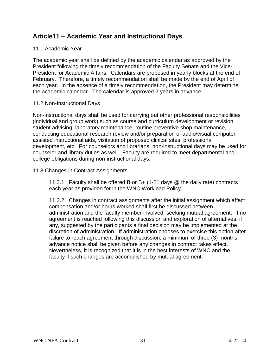## **Article11 – Academic Year and Instructional Days**

### 11.1 Academic Year

The academic year shall be defined by the academic calendar as approved by the President following the timely recommendation of the Faculty Senate and the Vice-President for Academic Affairs. Calendars are proposed in yearly blocks at the end of February. Therefore, a timely recommendation shall be made by the end of April of each year. In the absence of a timely recommendation, the President may determine the academic calendar. The calendar is approved 2 years in advance.

#### 11.2 Non-Instructional Days

Non-instructional days shall be used for carrying out other professional responsibilities (individual and group work) such as course and curriculum development or revision, student advising, laboratory maintenance, routine preventive shop maintenance, conducting educational research review and/or preparation of audio/visual computer assisted instructional aids, visitation of proposed clinical sites, professional development, etc. For counselors and librarians, non-instructional days may be used for counselor and library duties as well. Faculty are required to meet departmental and college obligations during non-instructional days.

## 11.3 Changes in Contract Assignments

11.3.1. Faculty shall be offered B or B+ (1-21 days @ the daily rate) contracts each year as provided for in the WNC Workload Policy.

11.3.2. Changes in contract assignments after the initial assignment which affect compensation and/or hours worked shall first be discussed between administration and the faculty member involved, seeking mutual agreement. If no agreement is reached following this discussion and exploration of alternatives, if any, suggested by the participants a final decision may be implemented at the discretion of administration. If administration chooses to exercise this option after failure to reach agreement through discussion, a minimum of three (3) months advance notice shall be given before any changes in contract takes effect. Nevertheless, it is recognized that it is in the best interests of WNC and the faculty if such changes are accomplished by mutual agreement.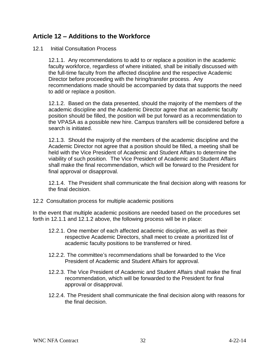## **Article 12 – Additions to the Workforce**

#### 12.1 Initial Consultation Process

12.1.1. Any recommendations to add to or replace a position in the academic faculty workforce, regardless of where initiated, shall be initially discussed with the full-time faculty from the affected discipline and the respective Academic Director before proceeding with the hiring/transfer process. Any recommendations made should be accompanied by data that supports the need to add or replace a position.

12.1.2. Based on the data presented, should the majority of the members of the academic discipline and the Academic Director agree that an academic faculty position should be filled, the position will be put forward as a recommendation to the VPASA as a possible new hire. Campus transfers will be considered before a search is initiated.

12.1.3. Should the majority of the members of the academic discipline and the Academic Director not agree that a position should be filled, a meeting shall be held with the Vice President of Academic and Student Affairs to determine the viability of such position. The Vice President of Academic and Student Affairs shall make the final recommendation, which will be forward to the President for final approval or disapproval.

12.1.4. The President shall communicate the final decision along with reasons for the final decision.

12.2 Consultation process for multiple academic positions

In the event that multiple academic positions are needed based on the procedures set forth in 12.1.1 and 12.1.2 above, the following process will be in place:

- 12.2.1. One member of each affected academic discipline, as well as their respective Academic Directors, shall meet to create a prioritized list of academic faculty positions to be transferred or hired.
- 12.2.2. The committee's recommendations shall be forwarded to the Vice President of Academic and Student Affairs for approval.
- 12.2.3. The Vice President of Academic and Student Affairs shall make the final recommendation, which will be forwarded to the President for final approval or disapproval.
- 12.2.4. The President shall communicate the final decision along with reasons for the final decision.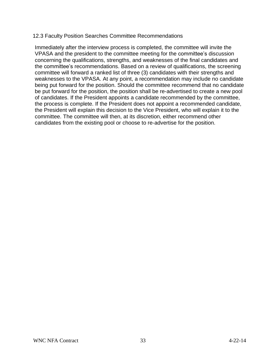#### 12.3 Faculty Position Searches Committee Recommendations

Immediately after the interview process is completed, the committee will invite the VPASA and the president to the committee meeting for the committee's discussion concerning the qualifications, strengths, and weaknesses of the final candidates and the committee's recommendations. Based on a review of qualifications, the screening committee will forward a ranked list of three (3) candidates with their strengths and weaknesses to the VPASA. At any point, a recommendation may include no candidate being put forward for the position. Should the committee recommend that no candidate be put forward for the position, the position shall be re-advertised to create a new pool of candidates. If the President appoints a candidate recommended by the committee, the process is complete. If the President does not appoint a recommended candidate, the President will explain this decision to the Vice President, who will explain it to the committee. The committee will then, at its discretion, either recommend other candidates from the existing pool or choose to re-advertise for the position.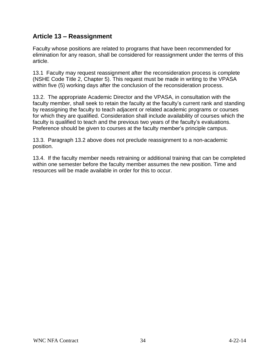# **Article 13 – Reassignment**

Faculty whose positions are related to programs that have been recommended for elimination for any reason, shall be considered for reassignment under the terms of this article.

13.1 Faculty may request reassignment after the reconsideration process is complete (NSHE Code Title 2, Chapter 5). This request must be made in writing to the VPASA within five (5) working days after the conclusion of the reconsideration process.

13.2. The appropriate Academic Director and the VPASA, in consultation with the faculty member, shall seek to retain the faculty at the faculty's current rank and standing by reassigning the faculty to teach adjacent or related academic programs or courses for which they are qualified. Consideration shall include availability of courses which the faculty is qualified to teach and the previous two years of the faculty's evaluations. Preference should be given to courses at the faculty member's principle campus.

13.3. Paragraph 13.2 above does not preclude reassignment to a non-academic position.

13.4. If the faculty member needs retraining or additional training that can be completed within one semester before the faculty member assumes the new position. Time and resources will be made available in order for this to occur.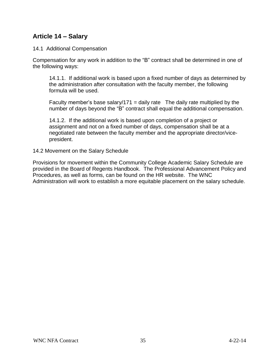# **Article 14 – Salary**

#### 14.1 Additional Compensation

Compensation for any work in addition to the "B" contract shall be determined in one of the following ways:

14.1.1. If additional work is based upon a fixed number of days as determined by the administration after consultation with the faculty member, the following formula will be used.

Faculty member's base salary/171 = daily rate The daily rate multiplied by the number of days beyond the "B" contract shall equal the additional compensation.

14.1.2. If the additional work is based upon completion of a project or assignment and not on a fixed number of days, compensation shall be at a negotiated rate between the faculty member and the appropriate director/vicepresident.

14.2 Movement on the Salary Schedule

Provisions for movement within the Community College Academic Salary Schedule are provided in the Board of Regents Handbook. The Professional Advancement Policy and Procedures, as well as forms, can be found on the HR website. The WNC Administration will work to establish a more equitable placement on the salary schedule.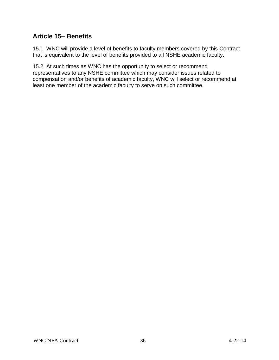# **Article 15– Benefits**

15.1 WNC will provide a level of benefits to faculty members covered by this Contract that is equivalent to the level of benefits provided to all NSHE academic faculty.

15.2 At such times as WNC has the opportunity to select or recommend representatives to any NSHE committee which may consider issues related to compensation and/or benefits of academic faculty, WNC will select or recommend at least one member of the academic faculty to serve on such committee.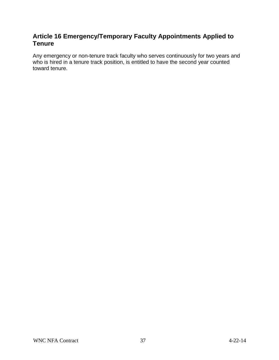## **Article 16 Emergency/Temporary Faculty Appointments Applied to Tenure**

Any emergency or non-tenure track faculty who serves continuously for two years and who is hired in a tenure track position, is entitled to have the second year counted toward tenure.